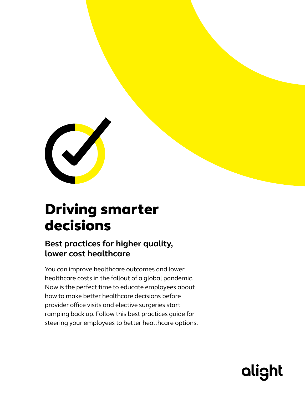

# Driving smarter decisions

### **Best practices for higher quality, lower cost healthcare**

You can improve healthcare outcomes and lower healthcare costs in the fallout of a global pandemic. Now is the perfect time to educate employees about how to make better healthcare decisions before provider office visits and elective surgeries start ramping back up. Follow this best practices guide for steering your employees to better healthcare options.

alight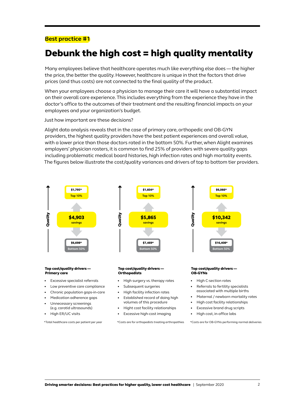#### **Best practice #1**

### Debunk the high cost = high quality mentality

Many employees believe that healthcare operates much like everything else does — the higher the price, the better the quality. However, healthcare is unique in that the factors that drive prices (and thus costs) are not connected to the final quality of the product.

When your employees choose a physician to manage their care it will have a substantial impact on their overall care experience. This includes everything from the experience they have in the doctor's office to the outcomes of their treatment and the resulting financial impacts on your employees and your organization's budget.

Just how important are these decisions?

Alight data analysis reveals that in the case of primary care, orthopedic and OB-GYN providers, the highest quality providers have the best patient experiences and overall value, with a lower price than those doctors rated in the bottom 50%. Further, when Alight examines employers' physician rosters, it is common to find 25% of providers with severe quality gaps including problematic medical board histories, high infection rates and high mortality events. The figures below illustrate the cost/quality variances and drivers of top to bottom tier providers.



\*Total healthcare costs per patient per year

\*Costs are for orthopedists treating arthropathies

\*Costs are for OB-GYNs performing normal deliveries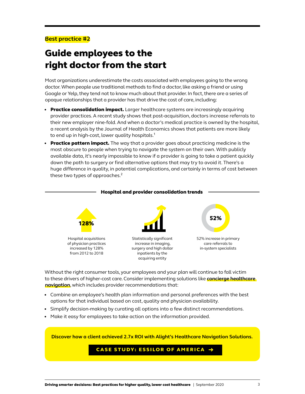#### **Best practice #2**

# Guide employees to the right doctor from the start

Most organizations underestimate the costs associated with employees going to the wrong doctor. When people use traditional methods to find a doctor, like asking a friend or using Google or Yelp, they tend not to know much about that provider. In fact, there are a series of opaque relationships that a provider has that drive the cost of care, including:

- Practice consolidation impact. Larger healthcare systems are increasingly acquiring provider practices. A recent study shows that post-acquisition, doctors increase referrals to their new employer nine-fold. And when a doctor's medical practice is owned by the hospital, a recent analysis by the Journal of Health Economics shows that patients are more likely to end up in high-cost, lower quality hospitals.<sup>1</sup>
- Practice pattern impact. The way that a provider goes about practicing medicine is the most obscure to people when trying to navigate the system on their own. With publicly available data, it's nearly impossible to know if a provider is going to take a patient quickly down the path to surgery or find alternative options that may try to avoid it. There's a huge difference in quality, in potential complications, and certainly in terms of cost between these two types of approaches.<sup>2</sup>



#### Without the right consumer tools, your employees and your plan will continue to fall victim to these drivers of higher-cost care. Consider implementing solutions like **[concierge healthcare](https://alight.com/health-solutions/healthcare-navigation)  [navigation](https://alight.com/health-solutions/healthcare-navigation)**, which includes provider recommendations that:

- Combine an employee's health plan information and personal preferences with the best options for that individual based on cost, quality and physician availability.
- Simplify decision-making by curating all options into a few distinct recommendations.
- Make it easy for employees to take action on the information provided.

**[Discover how a client achieved 2.7x ROI with Alight's Healthcare Navigation Solutions.](https://alight.com/research-insights/case-study-essilor-of-america?utm_source=guide&utm_medium=pdf&utm_campaign=cost_containment)**

#### CASE STUDY: ESSILOR OF AMERICA →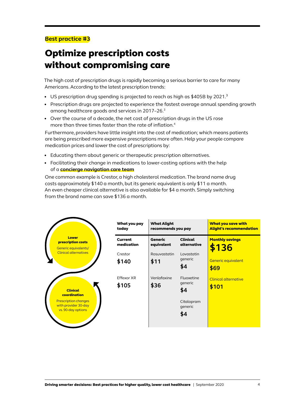### **Best practice #3**

# Optimize prescription costs without compromising care

The high cost of prescription drugs is rapidly becoming a serious barrier to care for many Americans. According to the latest prescription trends:

- US prescription drug spending is projected to reach as high as \$405B by 2021.<sup>3</sup>
- Prescription drugs are projected to experience the fastest average annual spending growth among healthcare goods and services in 2017–26.3
- Over the course of a decade, the net cost of prescription drugs in the US rose more than three times faster than the rate of inflation.4

Furthermore, providers have little insight into the cost of medication; which means patients are being prescribed more expensive prescriptions more often. Help your people compare medication prices and lower the cost of prescriptions by:

- Educating them about generic or therapeutic prescription alternatives.
- Facilitating their change in medications to lower-costing options with the help of a **[concierge navigation care team](https://alight.com/health-solutions/healthcare-navigation)**

One common example is Crestor, a high cholesterol medication. The brand name drug costs approximately \$140 a month, but its generic equivalent is only \$11 a month. An even cheaper clinical alternative is also available for \$4 a month. Simply switching from the brand name can save \$136 a month.

|                                                                           | What you pay<br>today        | <b>What Alight</b><br>recommends you pay |                                | <b>What you save with</b><br><b>Alight's recommendation</b> |
|---------------------------------------------------------------------------|------------------------------|------------------------------------------|--------------------------------|-------------------------------------------------------------|
| <b>Lower</b><br>prescription costs<br>Generic equivalents/                | <b>Current</b><br>medication | <b>Generic</b><br>equivalent             | <b>Clinical</b><br>alternative | <b>Monthly savings</b><br>\$136                             |
| <b>Clinical alternatives</b>                                              | Crestor                      | Rosuvastatin                             | Lovastatin                     |                                                             |
|                                                                           | \$140                        | \$11                                     | generic<br>\$4                 | Generic equivalent<br>\$69                                  |
|                                                                           | Effexor XR                   | Venlafaxine                              | Fluoxetine                     | Clinical alternative                                        |
| <b>Clinical</b><br>coordination                                           | \$105                        | \$36                                     | generic<br>\$4                 | \$101                                                       |
| <b>Prescription changes</b><br>with provider 30-day<br>vs. 90-day options |                              |                                          | Citalopram<br>generic          |                                                             |
|                                                                           |                              |                                          | \$4                            |                                                             |